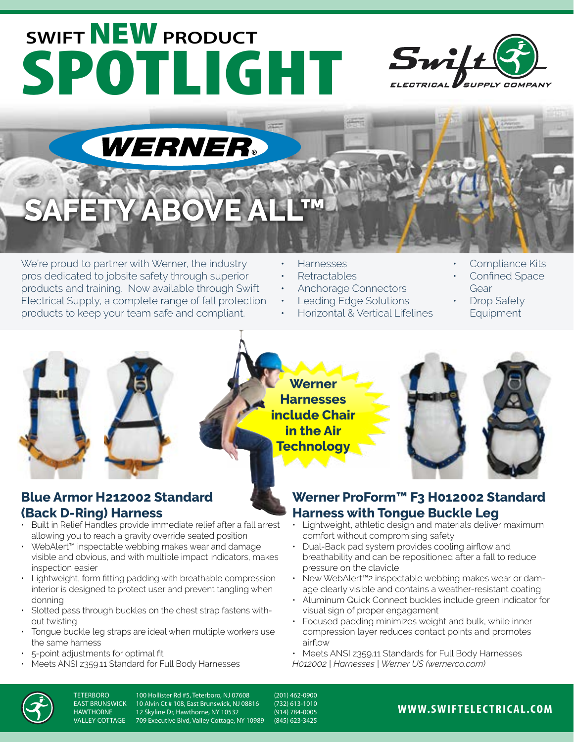# **SWIFT** NEW **PRODUCT** SPOTLIGHT Swift





## **YABO**

We're proud to partner with Werner, the industry pros dedicated to jobsite safety through superior products and training. Now available through Swift Electrical Supply, a complete range of fall protection products to keep your team safe and compliant.

- Harnesses
- Retractables
- Anchorage Connectors
- Leading Edge Solutions
- Horizontal & Vertical Lifelines
- Compliance Kits
- Confined Space Gear
- Drop Safety **Equipment**



### **Werner Harnesses include Chair in the Air Technology**



#### **Blue Armor H212002 Standard (Back D-Ring) Harness**

- Built in Relief Handles provide immediate relief after a fall arrest allowing you to reach a gravity override seated position
- WebAlert™ inspectable webbing makes wear and damage visible and obvious, and with multiple impact indicators, makes inspection easier
- Lightweight, form fitting padding with breathable compression interior is designed to protect user and prevent tangling when donning
- Slotted pass through buckles on the chest strap fastens without twisting
- Tongue buckle leg straps are ideal when multiple workers use the same harness
- 5-point adjustments for optimal fit
- Meets ANSI z359.11 Standard for Full Body Harnesses

#### **Werner ProForm™ F3 H012002 Standard Harness with Tongue Buckle Leg**

- Lightweight, athletic design and materials deliver maximum comfort without compromising safety
- Dual-Back pad system provides cooling airflow and breathability and can be repositioned after a fall to reduce pressure on the clavicle
- New WebAlert™2 inspectable webbing makes wear or damage clearly visible and contains a weather-resistant coating
- Aluminum Quick Connect buckles include green indicator for visual sign of proper engagement
- Focused padding minimizes weight and bulk, while inner compression layer reduces contact points and promotes airflow
- Meets ANSI z359.11 Standards for Full Body Harnesses
- *H012002 | Harnesses | Werner US (wernerco.com)*



TETERBORO 100 Hollister Rd #5, Teterboro, NJ 07608 (201) 462-0900<br>EAST BRUNSWICK 10 Alvin Ct # 108. East Brunswick. NJ 08816 (732) 613-1010 EAST BRUNSWICK 10 Alvin Ct # 108, East Brunswick, NJ 08816 (732) 613-1010 HAWTHORNE 12 Skyline Dr, Hawthorne, NY 10532 (914) 784-0005 709 Executive Blvd, Valley Cottage, NY 10989